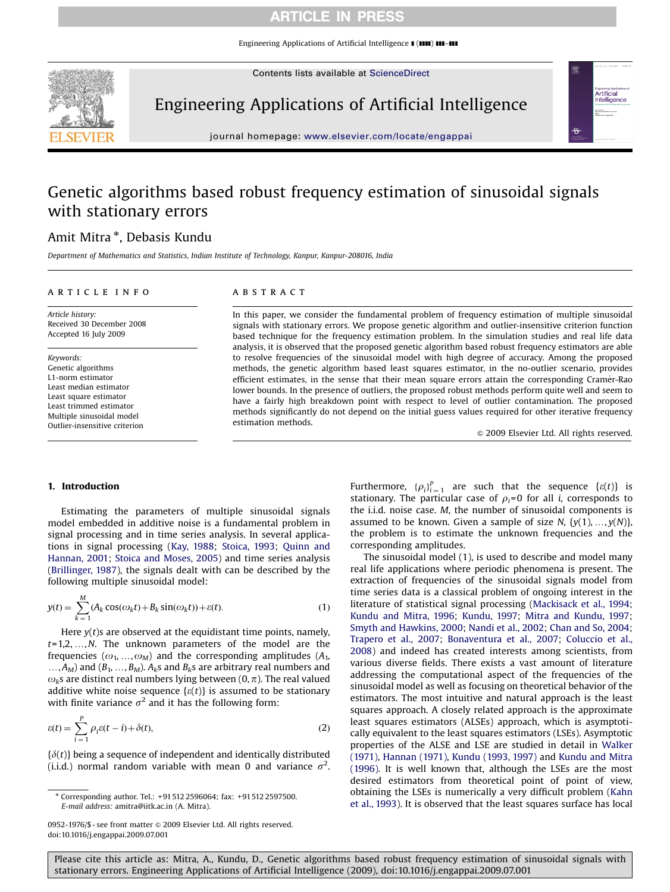Engineering Applications of Artificial Intelligence  $\blacksquare$  ( $\blacksquare\blacksquare$ )  $\blacksquare\blacksquare\blacksquare\blacksquare$ 

Contents lists available at ScienceDirect



Engineering Applications of Artificial Intelligence



journal homepage: <www.elsevier.com/locate/engappai>

# Genetic algorithms based robust frequency estimation of sinusoidal signals with stationary errors

# Amit Mitra <sup>\*</sup>, Debasis Kundu

Department of Mathematics and Statistics, Indian Institute of Technology, Kanpur, Kanpur-208016, India

#### article info

Article history: Received 30 December 2008 Accepted 16 July 2009

Keywords: Genetic algorithms L1-norm estimator Least median estimator Least square estimator Least trimmed estimator Multiple sinusoidal model Outlier-insensitive criterion

## ABSTRACT

In this paper, we consider the fundamental problem of frequency estimation of multiple sinusoidal signals with stationary errors. We propose genetic algorithm and outlier-insensitive criterion function based technique for the frequency estimation problem. In the simulation studies and real life data analysis, it is observed that the proposed genetic algorithm based robust frequency estimators are able to resolve frequencies of the sinusoidal model with high degree of accuracy. Among the proposed methods, the genetic algorithm based least squares estimator, in the no-outlier scenario, provides efficient estimates, in the sense that their mean square errors attain the corresponding Cramér-Rao lower bounds. In the presence of outliers, the proposed robust methods perform quite well and seem to have a fairly high breakdown point with respect to level of outlier contamination. The proposed methods significantly do not depend on the initial guess values required for other iterative frequency estimation methods.

 $\odot$  2009 Elsevier Ltd. All rights reserved.

## 1. Introduction

Estimating the parameters of multiple sinusoidal signals model embedded in additive noise is a fundamental problem in signal processing and in time series analysis. In several applications in signal processing [\(Kay, 1988](#page-9-0); [Stoica, 1993](#page-9-0); [Quinn and](#page-9-0) [Hannan, 2001](#page-9-0); [Stoica and Moses, 2005](#page-9-0)) and time series analysis ([Brillinger, 1987\)](#page-9-0), the signals dealt with can be described by the following multiple sinusoidal model:

$$
y(t) = \sum_{k=1}^{M} (A_k \cos(\omega_k t) + B_k \sin(\omega_k t)) + \varepsilon(t).
$$
 (1)

Here  $y(t)$ s are observed at the equidistant time points, namely,  $t=1,2,...,N$ . The unknown parameters of the model are the frequencies ( $\omega_1,...,\omega_M$ ) and the corresponding amplitudes ( $A_1$ ,  $..., A<sub>M</sub>$ ) and ( $B<sub>1</sub>, ..., B<sub>M</sub>$ ). A<sub>k</sub>s and B<sub>k</sub>s are arbitrary real numbers and  $\omega_k$ s are distinct real numbers lying between (0,  $\pi$ ). The real valued additive white noise sequence  $\{\varepsilon(t)\}$  is assumed to be stationary with finite variance  $\sigma^2$  and it has the following form:

$$
\varepsilon(t) = \sum_{i=1}^{P} \rho_i \varepsilon(t-i) + \delta(t),\tag{2}
$$

 $\{\delta(t)\}\$  being a sequence of independent and identically distributed (i.i.d.) normal random variable with mean 0 and variance  $\sigma^2$ .

Furthermore,  ${\{\rho_i\}}_{i=1}^P$  are such that the sequence  $\{\varepsilon(t)\}$  is stationary. The particular case of  $\rho_i=0$  for all *i*, corresponds to the i.i.d. noise case. M, the number of sinusoidal components is assumed to be known. Given a sample of size N,  $\{y(1),..., y(N)\},\$ the problem is to estimate the unknown frequencies and the corresponding amplitudes.

The sinusoidal model (1), is used to describe and model many real life applications where periodic phenomena is present. The extraction of frequencies of the sinusoidal signals model from time series data is a classical problem of ongoing interest in the literature of statistical signal processing ([Mackisack et al., 1994;](#page-9-0) [Kundu and Mitra, 1996](#page-9-0); [Kundu, 1997](#page-9-0); [Mitra and Kundu, 1997;](#page-9-0) [Smyth and Hawkins, 2000;](#page-9-0) [Nandi et al., 2002;](#page-9-0) [Chan and So, 2004;](#page-9-0) [Trapero et al., 2007;](#page-9-0) [Bonaventura et al., 2007;](#page-9-0) [Coluccio et al.,](#page-9-0) [2008\)](#page-9-0) and indeed has created interests among scientists, from various diverse fields. There exists a vast amount of literature addressing the computational aspect of the frequencies of the sinusoidal model as well as focusing on theoretical behavior of the estimators. The most intuitive and natural approach is the least squares approach. A closely related approach is the approximate least squares estimators (ALSEs) approach, which is asymptotically equivalent to the least squares estimators (LSEs). Asymptotic properties of the ALSE and LSE are studied in detail in [Walker](#page-9-0) [\(1971\),](#page-9-0) [Hannan \(1971\),](#page-9-0) [Kundu \(1993, 1997\)](#page-9-0) and [Kundu and Mitra](#page-9-0) [\(1996\)](#page-9-0). It is well known that, although the LSEs are the most desired estimators from theoretical point of point of view, obtaining the LSEs is numerically a very difficult problem ([Kahn](#page-9-0) [et al., 1993\)](#page-9-0). It is observed that the least squares surface has local

<sup>-</sup> Corresponding author. Tel.: +91512 2596064; fax: +91512 2597500. E-mail address: [amitra@iitk.ac.in \(A. Mitra\).](mailto:amitra@iitk.ac.in)

<sup>0952-1976/\$ -</sup> see front matter @ 2009 Elsevier Ltd. All rights reserved. doi:[10.1016/j.engappai.2009.07.001](dx.doi.org/10.1016/j.engappai.2009.07.001)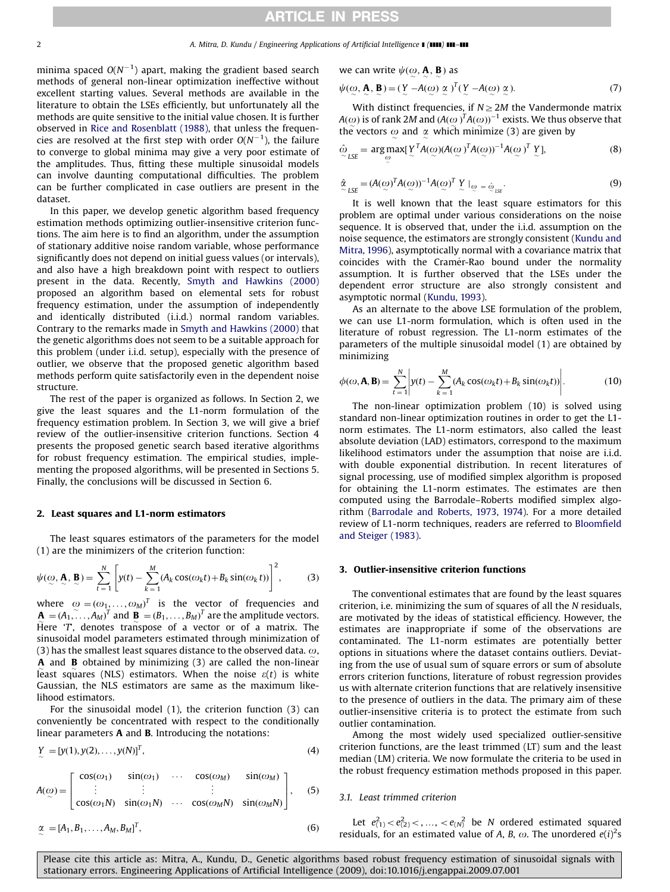## 2 **A. Mitra, D. Kundu / Engineering Applications of Artificial Intelligence [ (1111) 111-111**

minima spaced  $O(N^{-1})$  apart, making the gradient based search methods of general non-linear optimization ineffective without excellent starting values. Several methods are available in the literature to obtain the LSEs efficiently, but unfortunately all the methods are quite sensitive to the initial value chosen. It is further observed in [Rice and Rosenblatt \(1988\)](#page-9-0), that unless the frequencies are resolved at the first step with order  $O(N^{-1})$ , the failure to converge to global minima may give a very poor estimate of the amplitudes. Thus, fitting these multiple sinusoidal models can involve daunting computational difficulties. The problem can be further complicated in case outliers are present in the dataset.

In this paper, we develop genetic algorithm based frequency estimation methods optimizing outlier-insensitive criterion functions. The aim here is to find an algorithm, under the assumption of stationary additive noise random variable, whose performance significantly does not depend on initial guess values (or intervals), and also have a high breakdown point with respect to outliers present in the data. Recently, [Smyth and Hawkins \(2000\)](#page-9-0) proposed an algorithm based on elemental sets for robust frequency estimation, under the assumption of independently and identically distributed (i.i.d.) normal random variables. Contrary to the remarks made in [Smyth and Hawkins \(2000\)](#page-9-0) that the genetic algorithms does not seem to be a suitable approach for this problem (under i.i.d. setup), especially with the presence of outlier, we observe that the proposed genetic algorithm based methods perform quite satisfactorily even in the dependent noise structure.

The rest of the paper is organized as follows. In Section 2, we give the least squares and the L1-norm formulation of the frequency estimation problem. In Section 3, we will give a brief review of the outlier-insensitive criterion functions. Section 4 presents the proposed genetic search based iterative algorithms for robust frequency estimation. The empirical studies, implementing the proposed algorithms, will be presented in Sections 5. Finally, the conclusions will be discussed in Section 6.

## 2. Least squares and L1-norm estimators

The least squares estimators of the parameters for the model (1) are the minimizers of the criterion function:

$$
\psi(\omega, \mathbf{A}, \mathbf{B}) = \sum_{t=1}^{N} \left[ y(t) - \sum_{k=1}^{M} (A_k \cos(\omega_k t) + B_k \sin(\omega_k t)) \right]^2, \tag{3}
$$

where  $\omega = (\omega_1, ..., \omega_M)^T$  is the vector of frequencies and  $\mathbf{A} = (A_1, \ldots, A_M)^T$  and  $\mathbf{B} = (B_1, \ldots, B_M)^T$  are the amplitude vectors. Here  $T$ , denotes transpose of a vector or of a matrix. The sinusoidal model parameters estimated through minimization of (3) has the smallest least squares distance to the observed data.  $\omega$ , **A** and **B** obtained by minimizing (3) are called the non-linear least squares (NLS) estimators. When the noise  $\varepsilon(t)$  is white Gaussian, the NLS estimators are same as the maximum likelihood estimators.

For the sinusoidal model (1), the criterion function (3) can conveniently be concentrated with respect to the conditionally linear parameters A and B. Introducing the notations:

$$
Y = [y(1), y(2), \dots, y(N)]^{T},
$$
\n(4)

$$
A(\omega) = \begin{bmatrix} \cos(\omega_1) & \sin(\omega_1) & \cdots & \cos(\omega_M) & \sin(\omega_M) \\ \vdots & \vdots & \vdots & \vdots \\ \cos(\omega_1 N) & \sin(\omega_1 N) & \cdots & \cos(\omega_M N) & \sin(\omega_M N) \end{bmatrix}, \quad (5)
$$

$$
\underset{\sim}{\alpha} = [A_1, B_1, \dots, A_M, B_M]^T, \tag{6}
$$

we can write 
$$
\psi(\omega, \mathbf{A}, \mathbf{B})
$$
 as

$$
\psi(\omega, \mathbf{A}, \mathbf{B}) = (\mathbf{Y} - A(\omega) \; \alpha)^T (\mathbf{Y} - A(\omega) \; \alpha).
$$
\n(7)

With distinct frequencies, if  $N \geq 2M$  the Vandermonde matrix  $A(\omega)$  is of rank 2M and  $(A(\omega))^T A(\omega))^{-1}$  exists. We thus observe that the vectors  $\omega$  and  $\alpha$  which minimize (3) are given by

$$
\hat{\omega}_{LSE} = \underset{\omega}{\arg \max} [\underline{Y}^T A(\omega) (A(\omega)^T A(\omega))^{-1} A(\omega)^T \underline{Y}], \tag{8}
$$

$$
\hat{\alpha}_{LSE} = (A(\omega)^T A(\omega))^{-1} A(\omega)^T \times \left| \omega \right| = \hat{\omega}_{LSE}.
$$
\n(9)

It is well known that the least square estimators for this problem are optimal under various considerations on the noise sequence. It is observed that, under the i.i.d. assumption on the noise sequence, the estimators are strongly consistent [\(Kundu and](#page-9-0) [Mitra, 1996\)](#page-9-0), asymptotically normal with a covariance matrix that coincides with the Cramér-Rao bound under the normality assumption. It is further observed that the LSEs under the dependent error structure are also strongly consistent and asymptotic normal [\(Kundu, 1993](#page-9-0)).

As an alternate to the above LSE formulation of the problem, we can use L1-norm formulation, which is often used in the literature of robust regression. The L1-norm estimates of the parameters of the multiple sinusoidal model (1) are obtained by minimizing

$$
\phi(\omega, \mathbf{A}, \mathbf{B}) = \sum_{t=1}^{N} \left| y(t) - \sum_{k=1}^{M} (A_k \cos(\omega_k t) + B_k \sin(\omega_k t)) \right|.
$$
 (10)

The non-linear optimization problem (10) is solved using standard non-linear optimization routines in order to get the L1 norm estimates. The L1-norm estimators, also called the least absolute deviation (LAD) estimators, correspond to the maximum likelihood estimators under the assumption that noise are i.i.d. with double exponential distribution. In recent literatures of signal processing, use of modified simplex algorithm is proposed for obtaining the L1-norm estimates. The estimates are then computed using the Barrodale–Roberts modified simplex algorithm [\(Barrodale and Roberts, 1973, 1974\)](#page-9-0). For a more detailed review of L1-norm techniques, readers are referred to [Bloomfield](#page-9-0) [and Steiger \(1983\)](#page-9-0).

## 3. Outlier-insensitive criterion functions

The conventional estimates that are found by the least squares criterion, i.e. minimizing the sum of squares of all the N residuals, are motivated by the ideas of statistical efficiency. However, the estimates are inappropriate if some of the observations are contaminated. The L1-norm estimates are potentially better options in situations where the dataset contains outliers. Deviating from the use of usual sum of square errors or sum of absolute errors criterion functions, literature of robust regression provides us with alternate criterion functions that are relatively insensitive to the presence of outliers in the data. The primary aim of these outlier-insensitive criteria is to protect the estimate from such outlier contamination.

Among the most widely used specialized outlier-sensitive criterion functions, are the least trimmed (LT) sum and the least median (LM) criteria. We now formulate the criteria to be used in the robust frequency estimation methods proposed in this paper.

## 3.1. Least trimmed criterion

Let  $e_{(1)}^2 < e_{(2)}^2 < \ldots, \, < e_{(N)}^2$  be N ordered estimated squared residuals, for an estimated value of A, B,  $\omega$ . The unordered  $e(i)^2s$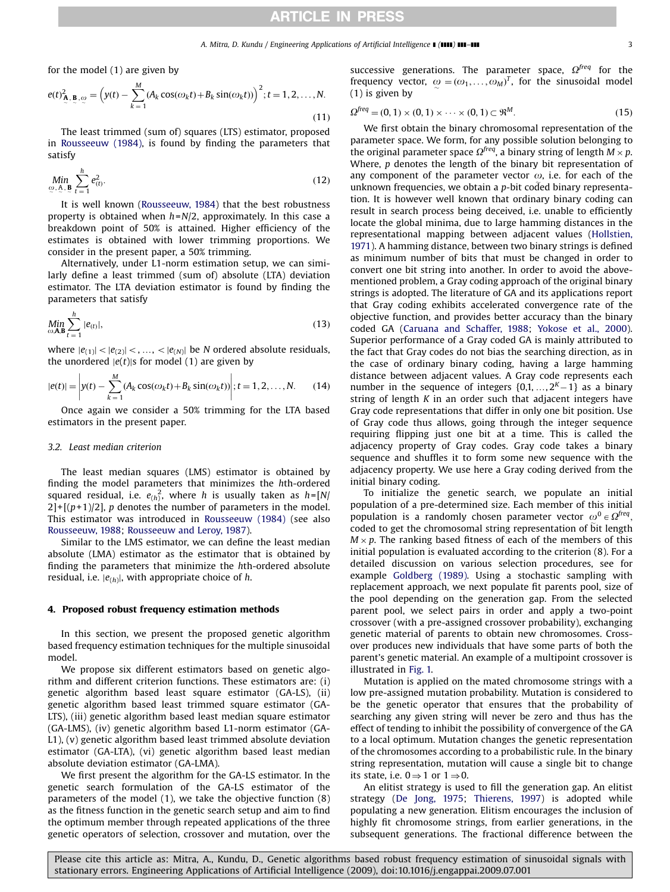for the model (1) are given by

$$
e(t)_{\mathbf{A},\mathbf{B},\omega}^{2} = \left(y(t) - \sum_{k=1}^{M} (A_{k}\cos(\omega_{k}t) + B_{k}\sin(\omega_{k}t))\right)^{2}; t = 1, 2, ..., N.
$$
\n(11)

The least trimmed (sum of) squares (LTS) estimator, proposed in [Rousseeuw \(1984\)](#page-9-0), is found by finding the parameters that satisfy

$$
\underset{\omega, \Delta, \mathbf{B}}{\text{Min}} \sum_{t=1}^{h} e_{(t)}^2. \tag{12}
$$

It is well known ([Rousseeuw, 1984\)](#page-9-0) that the best robustness property is obtained when  $h=N/2$ , approximately. In this case a breakdown point of 50% is attained. Higher efficiency of the estimates is obtained with lower trimming proportions. We consider in the present paper, a 50% trimming.

Alternatively, under L1-norm estimation setup, we can similarly define a least trimmed (sum of) absolute (LTA) deviation estimator. The LTA deviation estimator is found by finding the parameters that satisfy

$$
\underset{\omega,\mathbf{A},\mathbf{B}}{\text{Min}} \sum_{t=1}^{h} |e_{(t)}|,\tag{13}
$$

where  $|e_{(1)}| < |e_{(2)}| < \ldots, < |e_{(N)}|$  be N ordered absolute residuals, the unordered  $|e(t)|$ s for model (1) are given by

$$
|e(t)| = \left| y(t) - \sum_{k=1}^{M} (A_k \cos(\omega_k t) + B_k \sin(\omega_k t)) \right|; t = 1, 2, ..., N.
$$
 (14)

Once again we consider a 50% trimming for the LTA based estimators in the present paper.

### 3.2. Least median criterion

The least median squares (LMS) estimator is obtained by finding the model parameters that minimizes the hth-ordered squared residual, i.e.  $e_{(h)}^2$ , where h is usually taken as h=[N/  $2]+[(p+1)/2]$ , p denotes the number of parameters in the model. This estimator was introduced in [Rousseeuw \(1984\)](#page-9-0) (see also [Rousseeuw, 1988;](#page-9-0) [Rousseeuw and Leroy, 1987](#page-9-0)).

Similar to the LMS estimator, we can define the least median absolute (LMA) estimator as the estimator that is obtained by finding the parameters that minimize the hth-ordered absolute residual, i.e.  $|e_{(h)}|$ , with appropriate choice of h.

#### 4. Proposed robust frequency estimation methods

In this section, we present the proposed genetic algorithm based frequency estimation techniques for the multiple sinusoidal model.

We propose six different estimators based on genetic algorithm and different criterion functions. These estimators are: (i) genetic algorithm based least square estimator (GA-LS), (ii) genetic algorithm based least trimmed square estimator (GA-LTS), (iii) genetic algorithm based least median square estimator (GA-LMS), (iv) genetic algorithm based L1-norm estimator (GA-L1), (v) genetic algorithm based least trimmed absolute deviation estimator (GA-LTA), (vi) genetic algorithm based least median absolute deviation estimator (GA-LMA).

We first present the algorithm for the GA-LS estimator. In the genetic search formulation of the GA-LS estimator of the parameters of the model (1), we take the objective function (8) as the fitness function in the genetic search setup and aim to find the optimum member through repeated applications of the three genetic operators of selection, crossover and mutation, over the successive generations. The parameter space,  $\Omega^{freq}$  for the frequency vector,  $\omega = (\omega_1, \dots, \omega_M)^T$ , for the sinusoidal model (1) is given by

$$
\Omega^{\text{freq}} = (0, 1) \times (0, 1) \times \dots \times (0, 1) \subset \mathfrak{R}^M. \tag{15}
$$

We first obtain the binary chromosomal representation of the parameter space. We form, for any possible solution belonging to the original parameter space  $\Omega^{freq}$ , a binary string of length  $M \times p$ . Where,  $p$  denotes the length of the binary bit representation of any component of the parameter vector  $\omega$ , i.e. for each of the unknown frequencies, we obtain a *p*-bit coded binary representation. It is however well known that ordinary binary coding can result in search process being deceived, i.e. unable to efficiently locate the global minima, due to large hamming distances in the representational mapping between adjacent values [\(Hollstien,](#page-9-0) [1971\)](#page-9-0). A hamming distance, between two binary strings is defined as minimum number of bits that must be changed in order to convert one bit string into another. In order to avoid the abovementioned problem, a Gray coding approach of the original binary strings is adopted. The literature of GA and its applications report that Gray coding exhibits accelerated convergence rate of the objective function, and provides better accuracy than the binary coded GA ([Caruana and Schaffer, 1988](#page-9-0); [Yokose et al., 2000\)](#page-9-0). Superior performance of a Gray coded GA is mainly attributed to the fact that Gray codes do not bias the searching direction, as in the case of ordinary binary coding, having a large hamming distance between adjacent values. A Gray code represents each number in the sequence of integers  $\{0,1,\ldots, 2^K-1\}$  as a binary string of length  $K$  in an order such that adjacent integers have Gray code representations that differ in only one bit position. Use of Gray code thus allows, going through the integer sequence requiring flipping just one bit at a time. This is called the adjacency property of Gray codes. Gray code takes a binary sequence and shuffles it to form some new sequence with the adjacency property. We use here a Gray coding derived from the initial binary coding.

To initialize the genetic search, we populate an initial population of a pre-determined size. Each member of this initial population is a randomly chosen parameter vector  $\omega^0 \in \Omega^{freq}$ , coded to get the chromosomal string representation of bit length  $M \times p$ . The ranking based fitness of each of the members of this initial population is evaluated according to the criterion (8). For a detailed discussion on various selection procedures, see for example [Goldberg \(1989\)](#page-9-0). Using a stochastic sampling with replacement approach, we next populate fit parents pool, size of the pool depending on the generation gap. From the selected parent pool, we select pairs in order and apply a two-point crossover (with a pre-assigned crossover probability), exchanging genetic material of parents to obtain new chromosomes. Crossover produces new individuals that have some parts of both the parent's genetic material. An example of a multipoint crossover is illustrated in [Fig. 1.](#page-3-0)

Mutation is applied on the mated chromosome strings with a low pre-assigned mutation probability. Mutation is considered to be the genetic operator that ensures that the probability of searching any given string will never be zero and thus has the effect of tending to inhibit the possibility of convergence of the GA to a local optimum. Mutation changes the genetic representation of the chromosomes according to a probabilistic rule. In the binary string representation, mutation will cause a single bit to change its state, i.e.  $0 \Rightarrow 1$  or  $1 \Rightarrow 0$ .

An elitist strategy is used to fill the generation gap. An elitist strategy [\(De Jong, 1975](#page-9-0); [Thierens, 1997](#page-9-0)) is adopted while populating a new generation. Elitism encourages the inclusion of highly fit chromosome strings, from earlier generations, in the subsequent generations. The fractional difference between the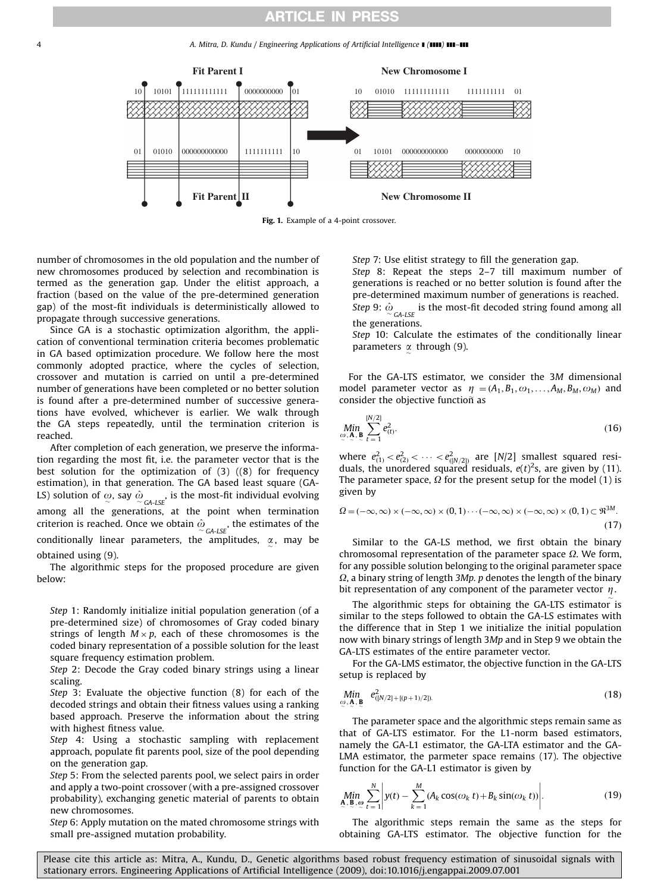<span id="page-3-0"></span>4 A. Mitra, D. Kundu / Engineering Applications of Artificial Intelligence **[(1111) 111-111** 



Fig. 1. Example of a 4-point crossover.

number of chromosomes in the old population and the number of new chromosomes produced by selection and recombination is termed as the generation gap. Under the elitist approach, a fraction (based on the value of the pre-determined generation gap) of the most-fit individuals is deterministically allowed to propagate through successive generations.

Since GA is a stochastic optimization algorithm, the application of conventional termination criteria becomes problematic in GA based optimization procedure. We follow here the most commonly adopted practice, where the cycles of selection, crossover and mutation is carried on until a pre-determined number of generations have been completed or no better solution is found after a pre-determined number of successive generations have evolved, whichever is earlier. We walk through the GA steps repeatedly, until the termination criterion is reached.

After completion of each generation, we preserve the information regarding the most fit, i.e. the parameter vector that is the best solution for the optimization of (3) ((8) for frequency estimation), in that generation. The GA based least square (GA-LS) solution of  $\omega$ , say  $\hat{\omega}_{\text{GALSE}}$ , is the most-fit individual evolving among all the generations, at the point when termination criterion is reached. Once we obtain  $\hat{\omega}_{\mathsf{GA-LSE}}^{\vphantom{\dagger}}$  , the estimates of the conditionally linear parameters, the amplitudes,  $\alpha$ , may be obtained using (9).

The algorithmic steps for the proposed procedure are given below:

Step 1: Randomly initialize initial population generation (of a pre-determined size) of chromosomes of Gray coded binary strings of length  $M \times p$ , each of these chromosomes is the coded binary representation of a possible solution for the least square frequency estimation problem.

Step 2: Decode the Gray coded binary strings using a linear scaling.

Step 3: Evaluate the objective function (8) for each of the decoded strings and obtain their fitness values using a ranking based approach. Preserve the information about the string with highest fitness value.

Step 4: Using a stochastic sampling with replacement approach, populate fit parents pool, size of the pool depending on the generation gap.

Step 5: From the selected parents pool, we select pairs in order and apply a two-point crossover (with a pre-assigned crossover probability), exchanging genetic material of parents to obtain new chromosomes.

Step 6: Apply mutation on the mated chromosome strings with small pre-assigned mutation probability.

Step 7: Use elitist strategy to fill the generation gap. Step 8: Repeat the steps 2–7 till maximum number of generations is reached or no better solution is found after the pre-determined maximum number of generations is reached. Step 9:  $\hat{\omega}_{\text{GA-LSE}}$  is the most-fit decoded string found among all the generations.

Step 10: Calculate the estimates of the conditionally linear parameters  $\alpha$  through (9).

For the GA-LTS estimator, we consider the 3M dimensional model parameter vector as  $\eta = (A_1, B_1, \omega_1, \ldots, A_M, B_M, \omega_M)$  and consider the objective functioñ as

$$
\min_{\omega, \mathbf{A}, \mathbf{B}} \sum_{t=1}^{[N/2]} e_{(t)}^2.
$$
\n(16)

where  $e_{(1)}^2 < e_{(2)}^2 < \cdots < e_{(N/2)}^2$  are [N/2] smallest squared residuals, the unordered squared residuals,  $e(t)^2$ s, are given by (11). The parameter space,  $\Omega$  for the present setup for the model (1) is given by

$$
\Omega = (-\infty, \infty) \times (-\infty, \infty) \times (0, 1) \cdots (-\infty, \infty) \times (-\infty, \infty) \times (0, 1) \subset \mathfrak{R}^{3M}.
$$
\n(17)

Similar to the GA-LS method, we first obtain the binary chromosomal representation of the parameter space  $\Omega$ . We form, for any possible solution belonging to the original parameter space  $\Omega$ , a binary string of length 3Mp. p denotes the length of the binary bit representation of any component of the parameter vector  $\eta$ .

The algorithmic steps for obtaining the GA-LTS estimator is similar to the steps followed to obtain the GA-LS estimates with the difference that in Step 1 we initialize the initial population now with binary strings of length 3Mp and in Step 9 we obtain the GA-LTS estimates of the entire parameter vector.

For the GA-LMS estimator, the objective function in the GA-LTS setup is replaced by

$$
\min_{\omega, \mathbf{A}, \mathbf{B}} \quad e_{([N/2]+[(p+1)/2])}^2. \tag{18}
$$

The parameter space and the algorithmic steps remain same as that of GA-LTS estimator. For the L1-norm based estimators, namely the GA-L1 estimator, the GA-LTA estimator and the GA-LMA estimator, the parmeter space remains (17). The objective function for the GA-L1 estimator is given by

$$
\underset{\mathbf{A}, \ \mathbf{B}, \ \mathbf{\omega}}{\text{Min}} \sum_{t=1}^{N} \left| y(t) - \sum_{k=1}^{M} (A_k \cos(\omega_k t) + B_k \sin(\omega_k t)) \right|.
$$
 (19)

The algorithmic steps remain the same as the steps for obtaining GA-LTS estimator. The objective function for the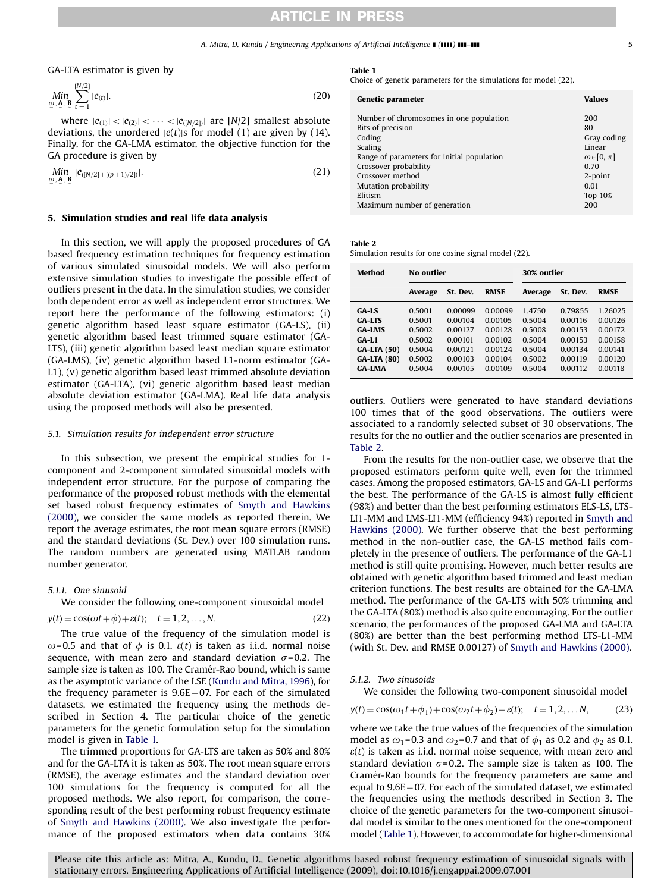#### A. Mitra, D. Kundu / Engineering Applications of Artificial Intelligence  $\blacksquare$  ( $\blacksquare\blacksquare\blacksquare$ )  $\blacksquare\blacksquare\blacksquare\blacksquare\blacksquare$

<span id="page-4-0"></span>GA-LTA estimator is given by

$$
\underset{\omega, \mathbf{A}, \mathbf{B}}{\text{Min}} \sum_{t=1}^{[N/2]} |e_{(t)}|.
$$
\n(20)

where  $|e_{(1)}| < |e_{(2)}| < \cdots < |e_{(N/2)}|$  are [N/2] smallest absolute deviations, the unordered  $|e(t)|$ s for model (1) are given by (14). Finally, for the GA-LMA estimator, the objective function for the GA procedure is given by

$$
\min_{\omega, \mathbf{A}, \mathbf{B}} |e_{([N/2]+[(p+1)/2])}|.
$$
\n(21)

#### 5. Simulation studies and real life data analysis

In this section, we will apply the proposed procedures of GA based frequency estimation techniques for frequency estimation of various simulated sinusoidal models. We will also perform extensive simulation studies to investigate the possible effect of outliers present in the data. In the simulation studies, we consider both dependent error as well as independent error structures. We report here the performance of the following estimators: (i) genetic algorithm based least square estimator (GA-LS), (ii) genetic algorithm based least trimmed square estimator (GA-LTS), (iii) genetic algorithm based least median square estimator (GA-LMS), (iv) genetic algorithm based L1-norm estimator (GA-L1), (v) genetic algorithm based least trimmed absolute deviation estimator (GA-LTA), (vi) genetic algorithm based least median absolute deviation estimator (GA-LMA). Real life data analysis using the proposed methods will also be presented.

#### 5.1. Simulation results for independent error structure

In this subsection, we present the empirical studies for 1 component and 2-component simulated sinusoidal models with independent error structure. For the purpose of comparing the performance of the proposed robust methods with the elemental set based robust frequency estimates of [Smyth and Hawkins](#page-9-0) [\(2000\)](#page-9-0), we consider the same models as reported therein. We report the average estimates, the root mean square errors (RMSE) and the standard deviations (St. Dev.) over 100 simulation runs. The random numbers are generated using MATLAB random number generator.

#### 5.1.1. One sinusoid

We consider the following one-component sinusoidal model

$$
y(t) = \cos(\omega t + \phi) + \varepsilon(t); \quad t = 1, 2, \dots, N. \tag{22}
$$

The true value of the frequency of the simulation model is  $\omega$ =0.5 and that of  $\phi$  is 0.1.  $\varepsilon(t)$  is taken as i.i.d. normal noise sequence, with mean zero and standard deviation  $\sigma$ =0.2. The sample size is taken as 100. The Cramér-Rao bound, which is same as the asymptotic variance of the LSE ([Kundu and Mitra, 1996\)](#page-9-0), for the frequency parameter is 9.6E-07. For each of the simulated datasets, we estimated the frequency using the methods described in Section 4. The particular choice of the genetic parameters for the genetic formulation setup for the simulation model is given in Table 1.

The trimmed proportions for GA-LTS are taken as 50% and 80% and for the GA-LTA it is taken as 50%. The root mean square errors (RMSE), the average estimates and the standard deviation over 100 simulations for the frequency is computed for all the proposed methods. We also report, for comparison, the corresponding result of the best performing robust frequency estimate of [Smyth and Hawkins \(2000\).](#page-9-0) We also investigate the performance of the proposed estimators when data contains 30%

### Table 1

Choice of genetic parameters for the simulations for model (22).

| Genetic parameter                          | Values                |
|--------------------------------------------|-----------------------|
| Number of chromosomes in one population    | 200                   |
| Bits of precision                          | 80                    |
| Coding                                     | Gray coding           |
| Scaling                                    | Linear                |
| Range of parameters for initial population | $\omega \in [0, \pi]$ |
| Crossover probability                      | 0.70                  |
| Crossover method                           | $2$ -point            |
| Mutation probability                       | 0.01                  |
| Elitism                                    | Top 10%               |
| Maximum number of generation               | 200                   |

#### Table 2

Simulation results for one cosine signal model (22).

| Method                                                                                                          | No outlier                                                         |                                                                           |                                                                           | 30% outlier                                                        |                                                                           |                                                                           |
|-----------------------------------------------------------------------------------------------------------------|--------------------------------------------------------------------|---------------------------------------------------------------------------|---------------------------------------------------------------------------|--------------------------------------------------------------------|---------------------------------------------------------------------------|---------------------------------------------------------------------------|
|                                                                                                                 | Average                                                            | St. Dev.                                                                  | <b>RMSE</b>                                                               | Average                                                            | St. Dev.                                                                  | <b>RMSE</b>                                                               |
| GA-LS<br><b>GA-LTS</b><br><b>GA-LMS</b><br>$GA-L1$<br><b>GA-LTA (50)</b><br><b>GA-LTA (80)</b><br><b>GA-LMA</b> | 0.5001<br>0.5001<br>0.5002<br>0.5002<br>0.5004<br>0.5002<br>0.5004 | 0.00099<br>0.00104<br>0.00127<br>0.00101<br>0.00121<br>0.00103<br>0.00105 | 0.00099<br>0.00105<br>0.00128<br>0.00102<br>0.00124<br>0.00104<br>0.00109 | 1.4750<br>0.5004<br>0.5008<br>0.5004<br>0.5004<br>0.5002<br>0.5004 | 0.79855<br>0.00116<br>0.00153<br>0.00153<br>0.00134<br>0.00119<br>0.00112 | 1.26025<br>0.00126<br>0.00172<br>0.00158<br>0.00141<br>0.00120<br>0.00118 |

outliers. Outliers were generated to have standard deviations 100 times that of the good observations. The outliers were associated to a randomly selected subset of 30 observations. The results for the no outlier and the outlier scenarios are presented in Table 2.

From the results for the non-outlier case, we observe that the proposed estimators perform quite well, even for the trimmed cases. Among the proposed estimators, GA-LS and GA-L1 performs the best. The performance of the GA-LS is almost fully efficient (98%) and better than the best performing estimators ELS-LS, LTS-LI1-MM and LMS-LI1-MM (efficiency 94%) reported in [Smyth and](#page-9-0) [Hawkins \(2000\).](#page-9-0) We further observe that the best performing method in the non-outlier case, the GA-LS method fails completely in the presence of outliers. The performance of the GA-L1 method is still quite promising. However, much better results are obtained with genetic algorithm based trimmed and least median criterion functions. The best results are obtained for the GA-LMA method. The performance of the GA-LTS with 50% trimming and the GA-LTA (80%) method is also quite encouraging. For the outlier scenario, the performances of the proposed GA-LMA and GA-LTA (80%) are better than the best performing method LTS-L1-MM (with St. Dev. and RMSE 0.00127) of [Smyth and Hawkins \(2000\).](#page-9-0)

#### 5.1.2. Two sinusoids

We consider the following two-component sinusoidal model

$$
y(t) = \cos(\omega_1 t + \phi_1) + \cos(\omega_2 t + \phi_2) + \varepsilon(t); \quad t = 1, 2, \dots N,
$$
 (23)

where we take the true values of the frequencies of the simulation model as  $\omega_1$ =0.3 and  $\omega_2$ =0.7 and that of  $\phi_1$  as 0.2 and  $\phi_2$  as 0.1.  $\varepsilon(t)$  is taken as i.i.d. normal noise sequence, with mean zero and standard deviation  $\sigma$ =0.2. The sample size is taken as 100. The Cramér-Rao bounds for the frequency parameters are same and equal to 9.6E-07. For each of the simulated dataset, we estimated the frequencies using the methods described in Section 3. The choice of the genetic parameters for the two-component sinusoidal model is similar to the ones mentioned for the one-component model (Table 1). However, to accommodate for higher-dimensional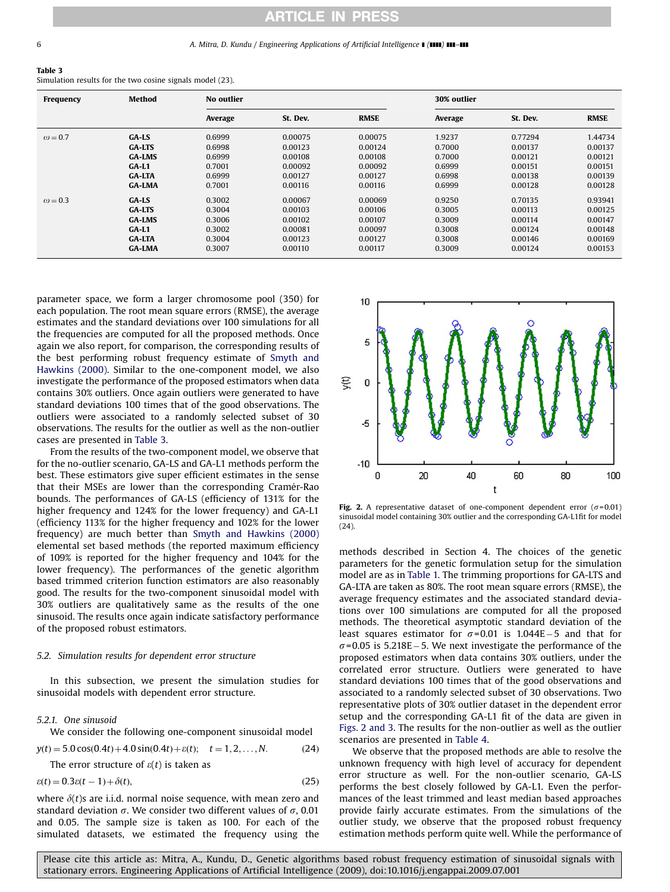#### 6 **A. Mitra, D. Kundu / Engineering Applications of Artificial Intelligence 1 (1111) 111-111**

| Table 3                                                   |  |  |  |
|-----------------------------------------------------------|--|--|--|
| Simulation results for the two cosine signals model (23). |  |  |  |

| Frequency      | Method        | No outlier |          |             | 30% outlier |          |             |
|----------------|---------------|------------|----------|-------------|-------------|----------|-------------|
|                |               | Average    | St. Dev. | <b>RMSE</b> | Average     | St. Dev. | <b>RMSE</b> |
| $\omega$ = 0.7 | $GA$ -LS      | 0.6999     | 0.00075  | 0.00075     | 1.9237      | 0.77294  | 1.44734     |
|                | <b>GA-LTS</b> | 0.6998     | 0.00123  | 0.00124     | 0.7000      | 0.00137  | 0.00137     |
|                | <b>GA-LMS</b> | 0.6999     | 0.00108  | 0.00108     | 0.7000      | 0.00121  | 0.00121     |
|                | $GA-L1$       | 0.7001     | 0.00092  | 0.00092     | 0.6999      | 0.00151  | 0.00151     |
|                | <b>GA-LTA</b> | 0.6999     | 0.00127  | 0.00127     | 0.6998      | 0.00138  | 0.00139     |
|                | <b>GA-LMA</b> | 0.7001     | 0.00116  | 0.00116     | 0.6999      | 0.00128  | 0.00128     |
| $\omega$ = 0.3 | $GA$ -LS      | 0.3002     | 0.00067  | 0.00069     | 0.9250      | 0.70135  | 0.93941     |
|                | <b>GA-LTS</b> | 0.3004     | 0.00103  | 0.00106     | 0.3005      | 0.00113  | 0.00125     |
|                | <b>GA-LMS</b> | 0.3006     | 0.00102  | 0.00107     | 0.3009      | 0.00114  | 0.00147     |
|                | $GA-L1$       | 0.3002     | 0.00081  | 0.00097     | 0.3008      | 0.00124  | 0.00148     |
|                | <b>GA-LTA</b> | 0.3004     | 0.00123  | 0.00127     | 0.3008      | 0.00146  | 0.00169     |
|                | <b>GA-LMA</b> | 0.3007     | 0.00110  | 0.00117     | 0.3009      | 0.00124  | 0.00153     |

parameter space, we form a larger chromosome pool (350) for each population. The root mean square errors (RMSE), the average estimates and the standard deviations over 100 simulations for all the frequencies are computed for all the proposed methods. Once again we also report, for comparison, the corresponding results of the best performing robust frequency estimate of [Smyth and](#page-9-0) [Hawkins \(2000\)](#page-9-0). Similar to the one-component model, we also investigate the performance of the proposed estimators when data contains 30% outliers. Once again outliers were generated to have standard deviations 100 times that of the good observations. The outliers were associated to a randomly selected subset of 30 observations. The results for the outlier as well as the non-outlier cases are presented in Table 3.

From the results of the two-component model, we observe that for the no-outlier scenario, GA-LS and GA-L1 methods perform the best. These estimators give super efficient estimates in the sense that their MSEs are lower than the corresponding Cramér-Rao bounds. The performances of GA-LS (efficiency of 131% for the higher frequency and 124% for the lower frequency) and GA-L1 (efficiency 113% for the higher frequency and 102% for the lower frequency) are much better than [Smyth and Hawkins \(2000\)](#page-9-0) elemental set based methods (the reported maximum efficiency of 109% is reported for the higher frequency and 104% for the lower frequency). The performances of the genetic algorithm based trimmed criterion function estimators are also reasonably good. The results for the two-component sinusoidal model with 30% outliers are qualitatively same as the results of the one sinusoid. The results once again indicate satisfactory performance of the proposed robust estimators.

## 5.2. Simulation results for dependent error structure

In this subsection, we present the simulation studies for sinusoidal models with dependent error structure.

## 5.2.1. One sinusoid

We consider the following one-component sinusoidal model

 $y(t) = 5.0 \cos(0.4t) + 4.0 \sin(0.4t) + \varepsilon(t); \quad t = 1, 2, \dots, N.$  (24)

The error structure of  $\varepsilon(t)$  is taken as

$$
\varepsilon(t) = 0.3\varepsilon(t-1) + \delta(t),\tag{25}
$$

where  $\delta(t)$ s are i.i.d. normal noise sequence, with mean zero and standard deviation  $\sigma$ . We consider two different values of  $\sigma$ , 0.01 and 0.05. The sample size is taken as 100. For each of the simulated datasets, we estimated the frequency using the



Fig. 2. A representative dataset of one-component dependent error ( $\sigma$ =0.01) sinusoidal model containing 30% outlier and the corresponding GA-L1fit for model (24).

methods described in Section 4. The choices of the genetic parameters for the genetic formulation setup for the simulation model are as in [Table 1.](#page-4-0) The trimming proportions for GA-LTS and GA-LTA are taken as 80%. The root mean square errors (RMSE), the average frequency estimates and the associated standard deviations over 100 simulations are computed for all the proposed methods. The theoretical asymptotic standard deviation of the least squares estimator for  $\sigma$ =0.01 is 1.044E-5 and that for  $\sigma$ =0.05 is 5.218E – 5. We next investigate the performance of the proposed estimators when data contains 30% outliers, under the correlated error structure. Outliers were generated to have standard deviations 100 times that of the good observations and associated to a randomly selected subset of 30 observations. Two representative plots of 30% outlier dataset in the dependent error setup and the corresponding GA-L1 fit of the data are given in Figs. 2 and 3. The results for the non-outlier as well as the outlier scenarios are presented in [Table 4.](#page-6-0)

We observe that the proposed methods are able to resolve the unknown frequency with high level of accuracy for dependent error structure as well. For the non-outlier scenario, GA-LS performs the best closely followed by GA-L1. Even the performances of the least trimmed and least median based approaches provide fairly accurate estimates. From the simulations of the outlier study, we observe that the proposed robust frequency estimation methods perform quite well. While the performance of

Please cite this article as: Mitra, A., Kundu, D., Genetic algorithms based robust frequency estimation of sinusoidal signals with stationary errors. Engineering Applications of Artificial Intelligence (2009), doi[:10.1016/j.engappai.2009.07.001](dx.doi.org/10.1016/j.engappai.2009.07.001)

 $\overline{a}$  3  $\overline{a}$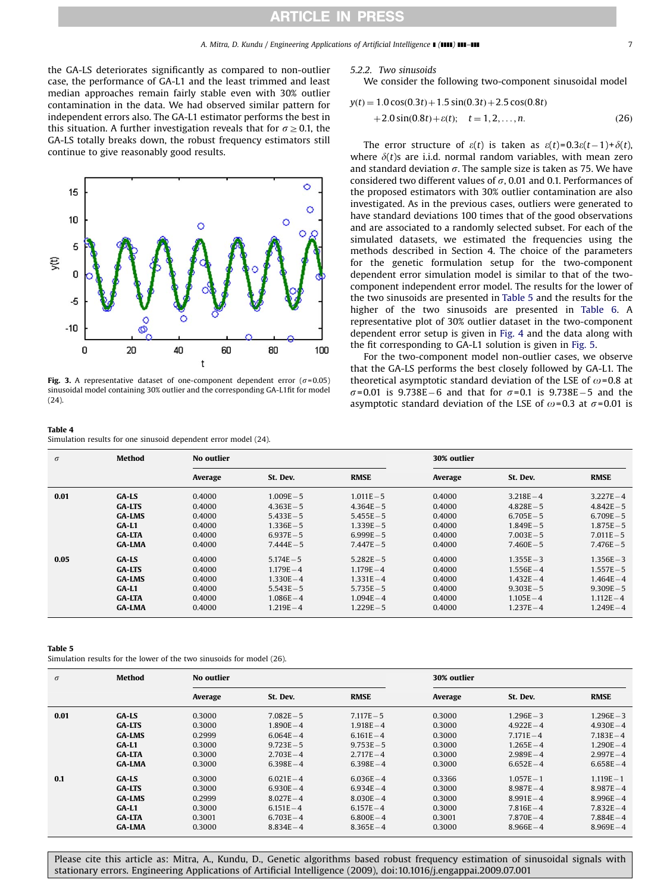<span id="page-6-0"></span>the GA-LS deteriorates significantly as compared to non-outlier case, the performance of GA-L1 and the least trimmed and least median approaches remain fairly stable even with 30% outlier contamination in the data. We had observed similar pattern for independent errors also. The GA-L1 estimator performs the best in this situation. A further investigation reveals that for  $\sigma \geq 0.1$ , the GA-LS totally breaks down, the robust frequency estimators still continue to give reasonably good results.



Fig. 3. A representative dataset of one-component dependent error ( $\sigma$ =0.05) sinusoidal model containing 30% outlier and the corresponding GA-L1fit for model (24).

#### Table 4

Simulation results for one sinusoid dependent error model (24).

#### 5.2.2. Two sinusoids

We consider the following two-component sinusoidal model

$$
y(t) = 1.0 \cos(0.3t) + 1.5 \sin(0.3t) + 2.5 \cos(0.8t)
$$
  
+2.0 \sin(0.8t) + \varepsilon(t); t = 1, 2, ..., n. (26)

The error structure of  $\varepsilon(t)$  is taken as  $\varepsilon(t) = 0.3\varepsilon(t-1) + \delta(t)$ , where  $\delta(t)$ s are i.i.d. normal random variables, with mean zero and standard deviation  $\sigma$ . The sample size is taken as 75. We have considered two different values of  $\sigma$ , 0.01 and 0.1. Performances of the proposed estimators with 30% outlier contamination are also investigated. As in the previous cases, outliers were generated to have standard deviations 100 times that of the good observations and are associated to a randomly selected subset. For each of the simulated datasets, we estimated the frequencies using the methods described in Section 4. The choice of the parameters for the genetic formulation setup for the two-component dependent error simulation model is similar to that of the twocomponent independent error model. The results for the lower of the two sinusoids are presented in Table 5 and the results for the higher of the two sinusoids are presented in [Table 6](#page-7-0). A representative plot of 30% outlier dataset in the two-component dependent error setup is given in [Fig. 4](#page-7-0) and the data along with the fit corresponding to GA-L1 solution is given in [Fig. 5](#page-7-0).

For the two-component model non-outlier cases, we observe that the GA-LS performs the best closely followed by GA-L1. The theoretical asymptotic standard deviation of the LSE of  $\omega$ =0.8 at  $\sigma$ =0.01 is 9.738E-6 and that for  $\sigma$ =0.1 is 9.738E-5 and the asymptotic standard deviation of the LSE of  $\omega$ =0.3 at  $\sigma$ =0.01 is

| $\sigma$ | Method        | No outlier |              |              | 30% outlier |              |              |
|----------|---------------|------------|--------------|--------------|-------------|--------------|--------------|
|          |               | Average    | St. Dev.     | <b>RMSE</b>  | Average     | St. Dev.     | <b>RMSE</b>  |
| 0.01     | <b>GA-LS</b>  | 0.4000     | $1.009E - 5$ | $1.011E - 5$ | 0.4000      | $3.218E - 4$ | $3.227E - 4$ |
|          | <b>GA-LTS</b> | 0.4000     | $4.363E - 5$ | $4.364E - 5$ | 0.4000      | $4.828E - 5$ | $4.842E - 5$ |
|          | <b>GA-LMS</b> | 0.4000     | $5.433E - 5$ | $5.455E - 5$ | 0.4000      | $6.705E - 5$ | $6.709E - 5$ |
|          | $GA-L1$       | 0.4000     | $1.336E - 5$ | $1.339E - 5$ | 0.4000      | $1.849E - 5$ | $1.875E - 5$ |
|          | <b>GA-LTA</b> | 0.4000     | $6.937E - 5$ | $6.999E - 5$ | 0.4000      | $7.003E - 5$ | $7.011E - 5$ |
|          | <b>GA-LMA</b> | 0.4000     | $7.444E - 5$ | $7.447E - 5$ | 0.4000      | $7.460E - 5$ | $7.476E - 5$ |
| 0.05     | GA-LS         | 0.4000     | $5.174E - 5$ | $5.282E - 5$ | 0.4000      | $1.355E - 3$ | $1.356E - 3$ |
|          | <b>GA-LTS</b> | 0.4000     | $1.179E - 4$ | $1.179E - 4$ | 0.4000      | $1.556E - 4$ | $1.557E - 5$ |
|          | <b>GA-LMS</b> | 0.4000     | $1.330E - 4$ | $1.331E - 4$ | 0.4000      | $1.432E - 4$ | $1.464E - 4$ |
|          | $GA-L1$       | 0.4000     | $5.543E - 5$ | $5.735E - 5$ | 0.4000      | $9.303E - 5$ | $9.309E - 5$ |
|          | <b>GA-LTA</b> | 0.4000     | $1.086E - 4$ | $1.094E - 4$ | 0.4000      | $1.105E - 4$ | $1.112E - 4$ |
|          | <b>GA-LMA</b> | 0.4000     | $1.219E - 4$ | $1.229E - 5$ | 0.4000      | $1.237E - 4$ | $1.249E - 4$ |

#### Table 5

Simulation results for the lower of the two sinusoids for model (26).

| $\sigma$ | Method        | No outlier |              |              | 30% outlier |              |              |
|----------|---------------|------------|--------------|--------------|-------------|--------------|--------------|
|          |               | Average    | St. Dev.     | <b>RMSE</b>  | Average     | St. Dev.     | <b>RMSE</b>  |
| 0.01     | GA-LS         | 0.3000     | $7.082E - 5$ | $7.117E - 5$ | 0.3000      | $1.296E - 3$ | $1.296E - 3$ |
|          | <b>GA-LTS</b> | 0.3000     | $1.890E - 4$ | $1.918E - 4$ | 0.3000      | $4.922E - 4$ | $4.930E - 4$ |
|          | <b>GA-LMS</b> | 0.2999     | $6.064E - 4$ | $6.161E - 4$ | 0.3000      | $7.171E - 4$ | $7.183E - 4$ |
|          | $GA-L1$       | 0.3000     | $9.723E - 5$ | $9.753E - 5$ | 0.3000      | $1.265E - 4$ | $1.290E - 4$ |
|          | <b>GA-LTA</b> | 0.3000     | $2.703E - 4$ | $2.717E - 4$ | 0.3000      | $2.989E - 4$ | $2.997E - 4$ |
|          | <b>GA-LMA</b> | 0.3000     | $6.398E - 4$ | $6.398E - 4$ | 0.3000      | $6.652E - 4$ | $6.658E - 4$ |
| 0.1      | GA-LS         | 0.3000     | $6.021E - 4$ | $6.036E - 4$ | 0.3366      | $1.057E - 1$ | $1.119E - 1$ |
|          | <b>GA-LTS</b> | 0.3000     | $6.930E - 4$ | $6.934E - 4$ | 0.3000      | $8.987E - 4$ | $8.987E - 4$ |
|          | <b>GA-LMS</b> | 0.2999     | $8.027E - 4$ | $8.030E - 4$ | 0.3000      | $8.991E - 4$ | $8.996E - 4$ |
|          | $GA-L1$       | 0.3000     | $6.151E - 4$ | $6.157E - 4$ | 0.3000      | $7.816E - 4$ | $7.832E - 4$ |
|          | <b>GA-LTA</b> | 0.3001     | $6.703E - 4$ | $6.800E - 4$ | 0.3001      | $7.870E - 4$ | $7.884E - 4$ |
|          | <b>GA-LMA</b> | 0.3000     | $8.834E - 4$ | $8.365E - 4$ | 0.3000      | $8.966E - 4$ | $8.969E - 4$ |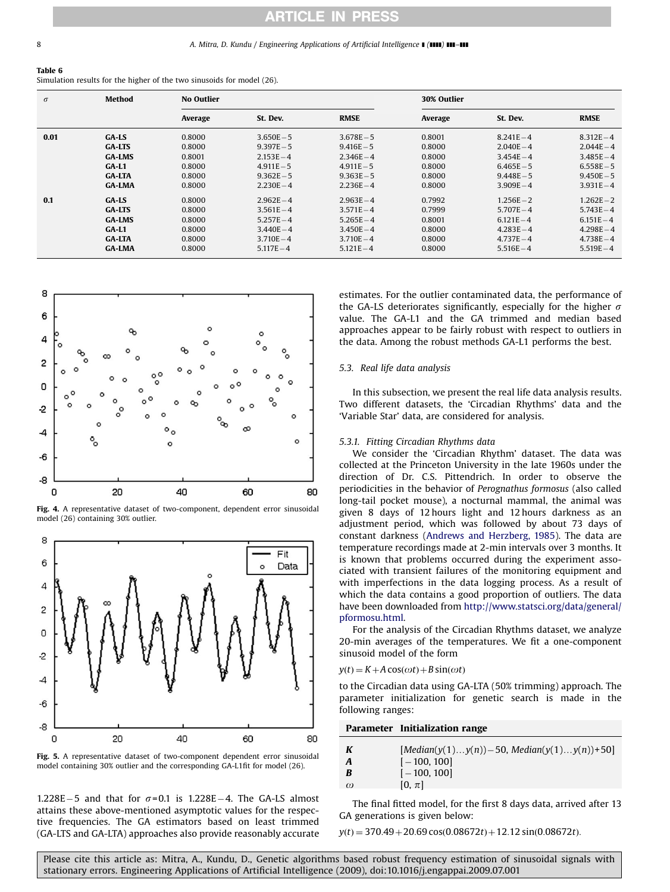#### <span id="page-7-0"></span>8 **A. Mitra, D. Kundu / Engineering Applications of Artificial Intelligence 1 (1111) 111-111**

#### Table 6

Simulation results for the higher of the two sinusoids for model (26).

| $\sigma$ | Method        | <b>No Outlier</b> |              |              |         |              |              |
|----------|---------------|-------------------|--------------|--------------|---------|--------------|--------------|
|          |               | Average           | St. Dev.     | <b>RMSE</b>  | Average | St. Dev.     | <b>RMSE</b>  |
| 0.01     | GA-LS         | 0.8000            | $3.650E - 5$ | $3.678E - 5$ | 0.8001  | $8.241E - 4$ | $8.312E - 4$ |
|          | <b>GA-LTS</b> | 0.8000            | $9.397E - 5$ | $9.416E - 5$ | 0.8000  | $2.040E - 4$ | $2.044E - 4$ |
|          | <b>GA-LMS</b> | 0.8001            | $2.153E - 4$ | $2.346E - 4$ | 0.8000  | $3.454E - 4$ | $3.485E - 4$ |
|          | $GA-L1$       | 0.8000            | $4.911E - 5$ | $4.911E - 5$ | 0.8000  | $6.465E - 5$ | $6.558E - 5$ |
|          | <b>GA-LTA</b> | 0.8000            | $9.362E - 5$ | $9.363E - 5$ | 0.8000  | $9.448E - 5$ | $9.450E - 5$ |
|          | <b>GA-LMA</b> | 0.8000            | $2.230E - 4$ | $2.236E - 4$ | 0.8000  | $3.909E - 4$ | $3.931E - 4$ |
| 0.1      | $GA$ -LS      | 0.8000            | $2.962E - 4$ | $2.963E - 4$ | 0.7992  | $1.256E - 2$ | $1.262E - 2$ |
|          | <b>GA-LTS</b> | 0.8000            | $3.561E - 4$ | $3.571E - 4$ | 0.7999  | $5.707E - 4$ | $5.743E - 4$ |
|          | <b>GA-LMS</b> | 0.8000            | $5.257E - 4$ | $5.265E - 4$ | 0.8001  | $6.121E - 4$ | $6.151E - 4$ |
|          | $GA-L1$       | 0.8000            | $3.440E - 4$ | $3.450E - 4$ | 0.8000  | $4.283E - 4$ | $4.298E - 4$ |
|          | <b>GA-LTA</b> | 0.8000            | $3.710E - 4$ | $3.710E - 4$ | 0.8000  | $4.737E - 4$ | $4.738E - 4$ |
|          | <b>GA-LMA</b> | 0.8000            | $5.117E - 4$ | $5.121E - 4$ | 0.8000  | $5.516E - 4$ | $5.519E - 4$ |



Fig. 4. A representative dataset of two-component, dependent error sinusoidal model (26) containing 30% outlier.



Fig. 5. A representative dataset of two-component dependent error sinusoidal model containing 30% outlier and the corresponding GA-L1fit for model (26).

 $1.228E - 5$  and that for  $\sigma = 0.1$  is  $1.228E - 4$ . The GA-LS almost attains these above-mentioned asymptotic values for the respective frequencies. The GA estimators based on least trimmed (GA-LTS and GA-LTA) approaches also provide reasonably accurate estimates. For the outlier contaminated data, the performance of the GA-LS deteriorates significantly, especially for the higher  $\sigma$ value. The GA-L1 and the GA trimmed and median based approaches appear to be fairly robust with respect to outliers in the data. Among the robust methods GA-L1 performs the best.

## 5.3. Real life data analysis

In this subsection, we present the real life data analysis results. Two different datasets, the 'Circadian Rhythms' data and the 'Variable Star' data, are considered for analysis.

#### 5.3.1. Fitting Circadian Rhythms data

We consider the 'Circadian Rhythm' dataset. The data was collected at the Princeton University in the late 1960s under the direction of Dr. C.S. Pittendrich. In order to observe the periodicities in the behavior of Perognathus formosus (also called long-tail pocket mouse), a nocturnal mammal, the animal was given 8 days of 12 hours light and 12 hours darkness as an adjustment period, which was followed by about 73 days of constant darkness [\(Andrews and Herzberg, 1985\)](#page-9-0). The data are temperature recordings made at 2-min intervals over 3 months. It is known that problems occurred during the experiment associated with transient failures of the monitoring equipment and with imperfections in the data logging process. As a result of which the data contains a good proportion of outliers. The data have been downloaded from [http://www.statsci.org/data/general/](http://www.statsci.org/data/general/pformosu.html) [pformosu.html.](http://www.statsci.org/data/general/pformosu.html)

For the analysis of the Circadian Rhythms dataset, we analyze 20-min averages of the temperatures. We fit a one-component sinusoid model of the form

#### $y(t) = K + A \cos(\omega t) + B \sin(\omega t)$

to the Circadian data using GA-LTA (50% trimming) approach. The parameter initialization for genetic search is made in the following ranges:

Parameter Initialization range

| K        | $[Median(y(1)y(n))-50, Median(y(1)y(n))+50]$ |
|----------|----------------------------------------------|
| A        | $[-100, 100]$                                |
| B        | $[-100, 100]$                                |
| $\omega$ | $[0, \pi]$                                   |
|          |                                              |

The final fitted model, for the first 8 days data, arrived after 13 GA generations is given below:

 $y(t) = 370.49 + 20.69 \cos(0.08672t) + 12.12 \sin(0.08672t)$ .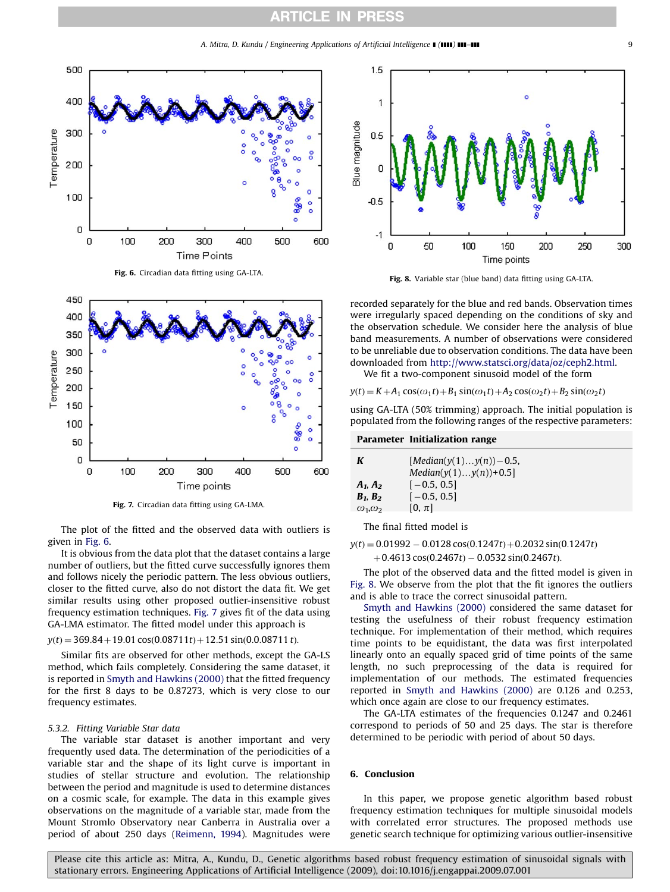A. Mitra, D. Kundu / Engineering Applications of Artificial Intelligence **[(IIII) III–III [11]** 







Fig. 7. Circadian data fitting using GA-LMA.

The plot of the fitted and the observed data with outliers is given in Fig. 6.

It is obvious from the data plot that the dataset contains a large number of outliers, but the fitted curve successfully ignores them and follows nicely the periodic pattern. The less obvious outliers, closer to the fitted curve, also do not distort the data fit. We get similar results using other proposed outlier-insensitive robust frequency estimation techniques. Fig. 7 gives fit of the data using GA-LMA estimator. The fitted model under this approach is

#### $y(t) = 369.84 + 19.01 \cos(0.08711t) + 12.51 \sin(0.0.08711t)$ .

Similar fits are observed for other methods, except the GA-LS method, which fails completely. Considering the same dataset, it is reported in [Smyth and Hawkins \(2000\)](#page-9-0) that the fitted frequency for the first 8 days to be 0.87273, which is very close to our frequency estimates.

### 5.3.2. Fitting Variable Star data

The variable star dataset is another important and very frequently used data. The determination of the periodicities of a variable star and the shape of its light curve is important in studies of stellar structure and evolution. The relationship between the period and magnitude is used to determine distances on a cosmic scale, for example. The data in this example gives observations on the magnitude of a variable star, made from the Mount Stromlo Observatory near Canberra in Australia over a period of about 250 days ([Reimenn, 1994\)](#page-9-0). Magnitudes were



Fig. 8. Variable star (blue band) data fitting using GA-LTA.

recorded separately for the blue and red bands. Observation times were irregularly spaced depending on the conditions of sky and the observation schedule. We consider here the analysis of blue band measurements. A number of observations were considered to be unreliable due to observation conditions. The data have been downloaded from [http://www.statsci.org/data/oz/ceph2.html.](http://www.statsci.org/data/oz/ceph2.html)

We fit a two-component sinusoid model of the form

 $y(t) = K + A_1 \cos(\omega_1 t) + B_1 \sin(\omega_1 t) + A_2 \cos(\omega_2 t) + B_2 \sin(\omega_2 t)$ 

using GA-LTA (50% trimming) approach. The initial population is populated from the following ranges of the respective parameters:

#### Parameter Initialization range

| K                    | [ <i>Median</i> ( $y(1) \dots y(n)$ ) – 0.5,<br>$Median(y(1)y(n))+0.5]$ |
|----------------------|-------------------------------------------------------------------------|
| $A_1, A_2$           | $[-0.5, 0.5]$                                                           |
| $B_1, B_2$           | $[-0.5, 0.5]$                                                           |
| $\omega_1, \omega_2$ | $[0, \pi]$                                                              |

The final fitted model is

 $y(t) = 0.01992 - 0.0128 \cos(0.1247t) + 0.2032 \sin(0.1247t)$ 

 $+0.4613 \cos(0.2467t) - 0.0532 \sin(0.2467t)$ .

The plot of the observed data and the fitted model is given in Fig. 8. We observe from the plot that the fit ignores the outliers and is able to trace the correct sinusoidal pattern.

[Smyth and Hawkins \(2000\)](#page-9-0) considered the same dataset for testing the usefulness of their robust frequency estimation technique. For implementation of their method, which requires time points to be equidistant, the data was first interpolated linearly onto an equally spaced grid of time points of the same length, no such preprocessing of the data is required for implementation of our methods. The estimated frequencies reported in [Smyth and Hawkins \(2000\)](#page-9-0) are 0.126 and 0.253, which once again are close to our frequency estimates.

The GA-LTA estimates of the frequencies 0.1247 and 0.2461 correspond to periods of 50 and 25 days. The star is therefore determined to be periodic with period of about 50 days.

## 6. Conclusion

In this paper, we propose genetic algorithm based robust frequency estimation techniques for multiple sinusoidal models with correlated error structures. The proposed methods use genetic search technique for optimizing various outlier-insensitive